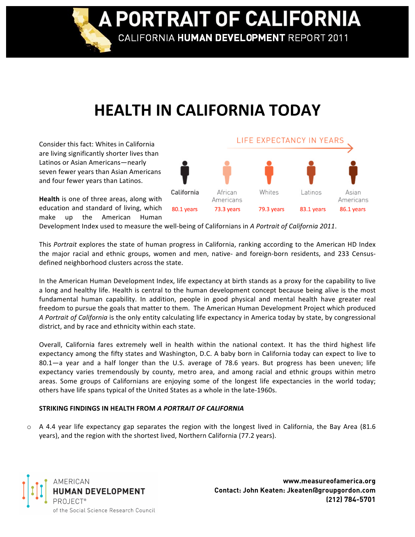**A PORTRAIT OF CALIFORNIA** CALIFORNIA HUMAN DEVELOPMENT REPORT 2011

## **HEALTH
IN
CALIFORNIA
TODAY**

Consider
this
fact:
Whites
in
California are
living
significantly
shorter
lives
than Latinos
or
Asian
Americans—nearly seven
fewer
years
than
Asian
Americans and
four
fewer
years
than
Latinos.

LIFE EXPECTANCY IN YEARS California Whites African Latinos Asian Americans Americans 80.1 years 73.3 years 79.3 years 83.1 years 86.1 years

Health is one of three areas, along with education and standard of living, which make
 up
 the
 American
 Human

Development Index used to measure the well-being of Californians in A Portrait of California 2011.

This *Portrait* explores the state of human progress in California, ranking according to the American HD Index the major racial and ethnic groups, women and men, native- and foreign-born residents, and 233 Censusdefined
neighborhood
clusters
across
the
state.

In the American Human Development Index, life expectancy at birth stands as a proxy for the capability to live a long and healthy life. Health is central to the human development concept because being alive is the most fundamental human capability. In addition, people in good physical and mental health have greater real freedom to pursue the goals that matter to them. The American Human Development Project which produced A Portrait of California is the only entity calculating life expectancy in America today by state, by congressional district,
and
by
race
and
ethnicity
within
each
state.

Overall, California fares extremely well in health within the national context. It has the third highest life expectancy among the fifty states and Washington, D.C. A baby born in California today can expect to live to 80.1—a year and a half longer than the U.S. average of 78.6 years. But progress has been uneven; life expectancy varies tremendously by county, metro area, and among racial and ethnic groups within metro areas.
 Some
 groups
 of
 Californians
 are
 enjoying
 some
 of
 the
 longest
 life
 expectancies
 in
 the
 world
 today; others
have
life
spans
typical
of
the
United
States
as
a
whole
in
the
late‐1960s.

## **STRIKING
FINDINGS
IN
HEALTH
FROM** *A
PORTRAIT
OF
CALIFORNIA*

o A 4.4 year life expectancy gap separates the region with the longest lived in California, the Bay Area (81.6 years), and the region with the shortest lived, Northern California (77.2 years).



**www.measureofamerica.org Contact: John Keaten: Jkeaten@groupgordon.com (212) 784-5701**